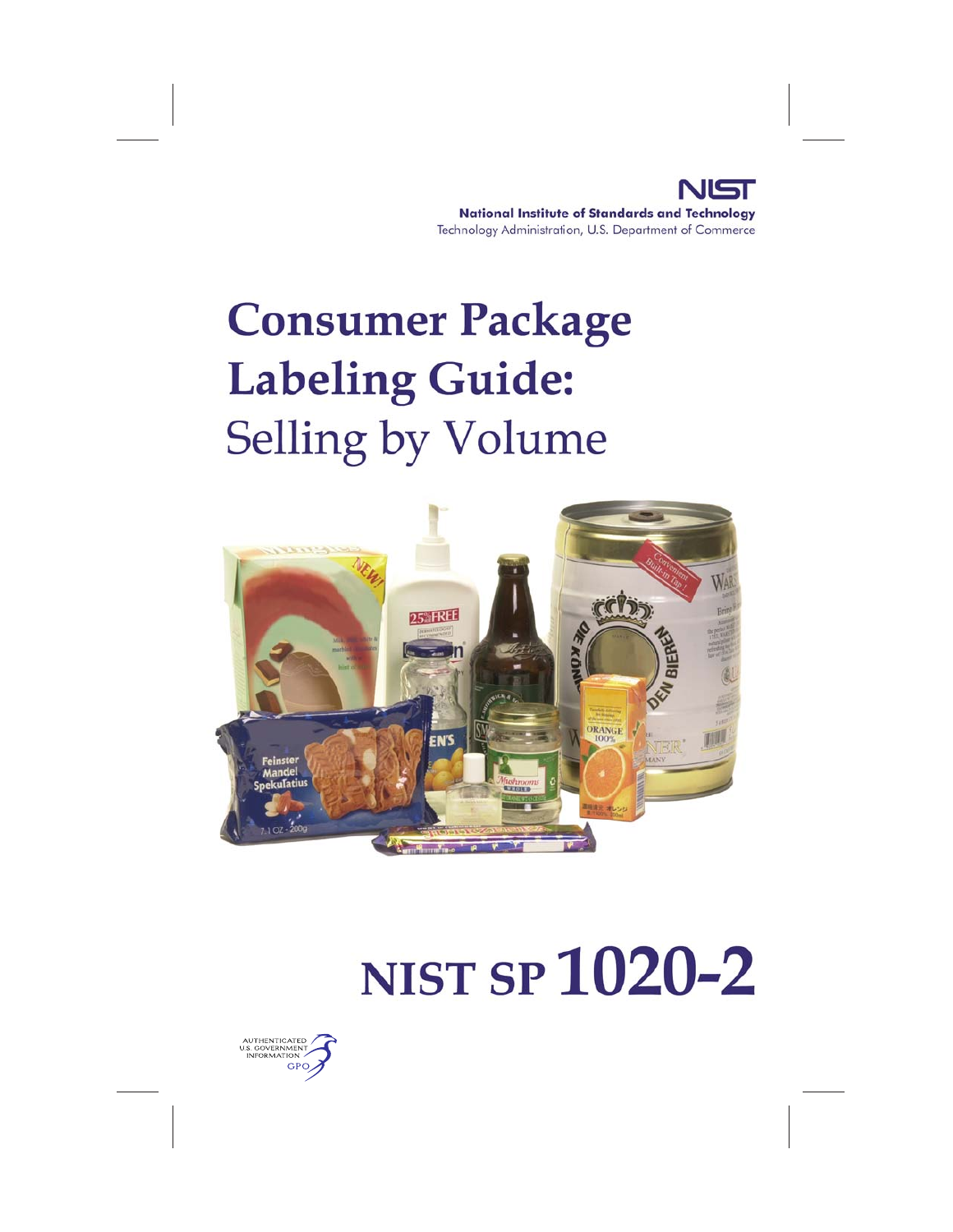#### **National Institute of Standards and Technology** Technology Administration, U.S. Department of Commerce

## **Consumer Package Labeling Guide: Selling by Volume**



# **NIST SP 1020-2**

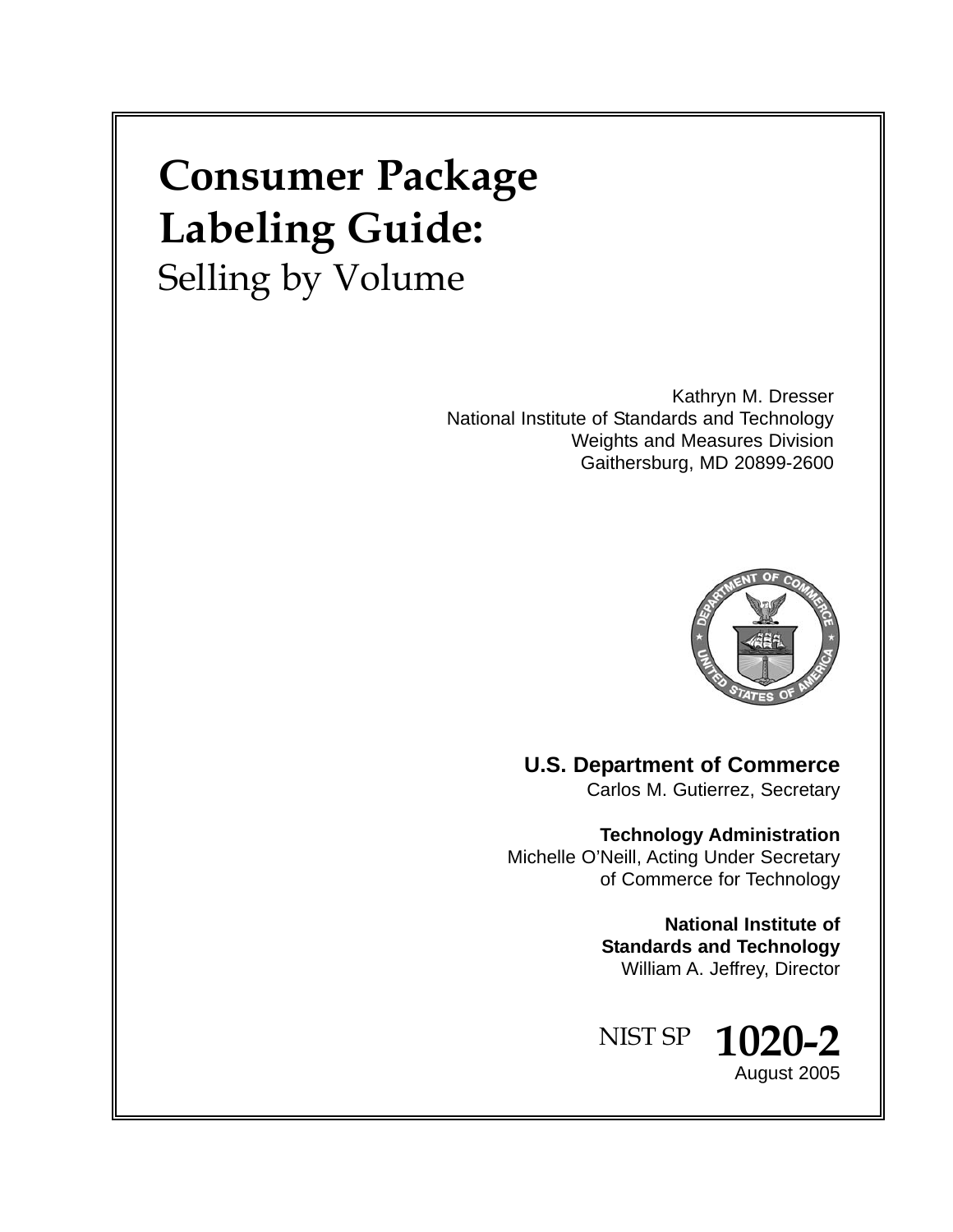## **Consumer Package Labeling Guide:** Selling by Volume

Kathryn M. Dresser National Institute of Standards and Technology Weights and Measures Division Gaithersburg, MD 20899-2600



**U.S. Department of Commerce** Carlos M. Gutierrez, Secretary

**Technology Administration** Michelle O'Neill, Acting Under Secretary of Commerce for Technology

> **National Institute of Standards and Technology** William A. Jeffrey, Director

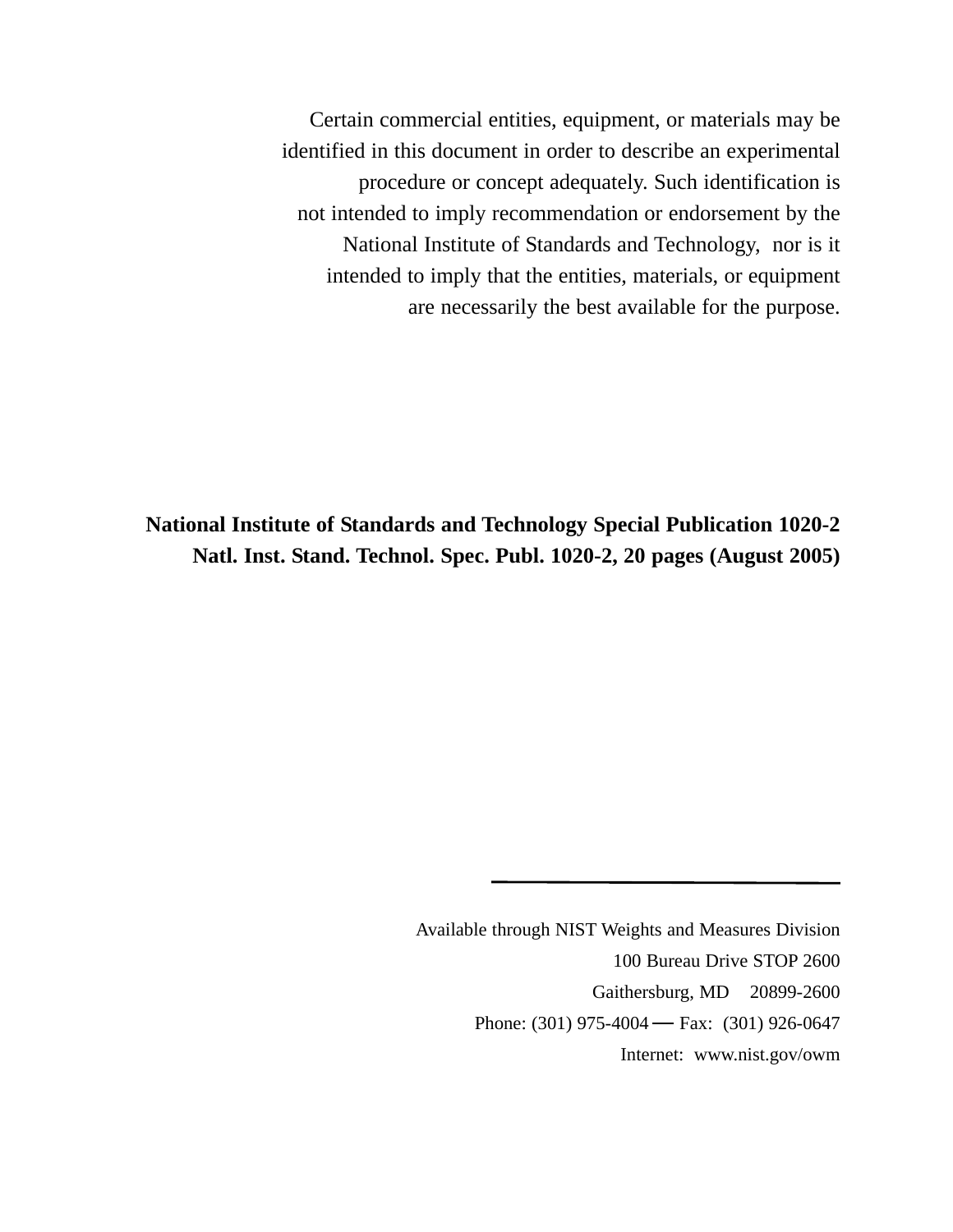Certain commercial entities, equipment, or materials may be identified in this document in order to describe an experimental procedure or concept adequately. Such identification is not intended to imply recommendation or endorsement by the National Institute of Standards and Technology, nor is it intended to imply that the entities, materials, or equipment are necessarily the best available for the purpose.

**National Institute of Standards and Technology Special Publication 1020-2 Natl. Inst. Stand. Technol. Spec. Publ. 1020-2, 20 pages (August 2005)**

> Available through NIST Weights and Measures Division 100 Bureau Drive STOP 2600 Gaithersburg, MD 20899-2600 Phone: (301) 975-4004 – Fax: (301) 926-0647 Internet: www.nist.gov/owm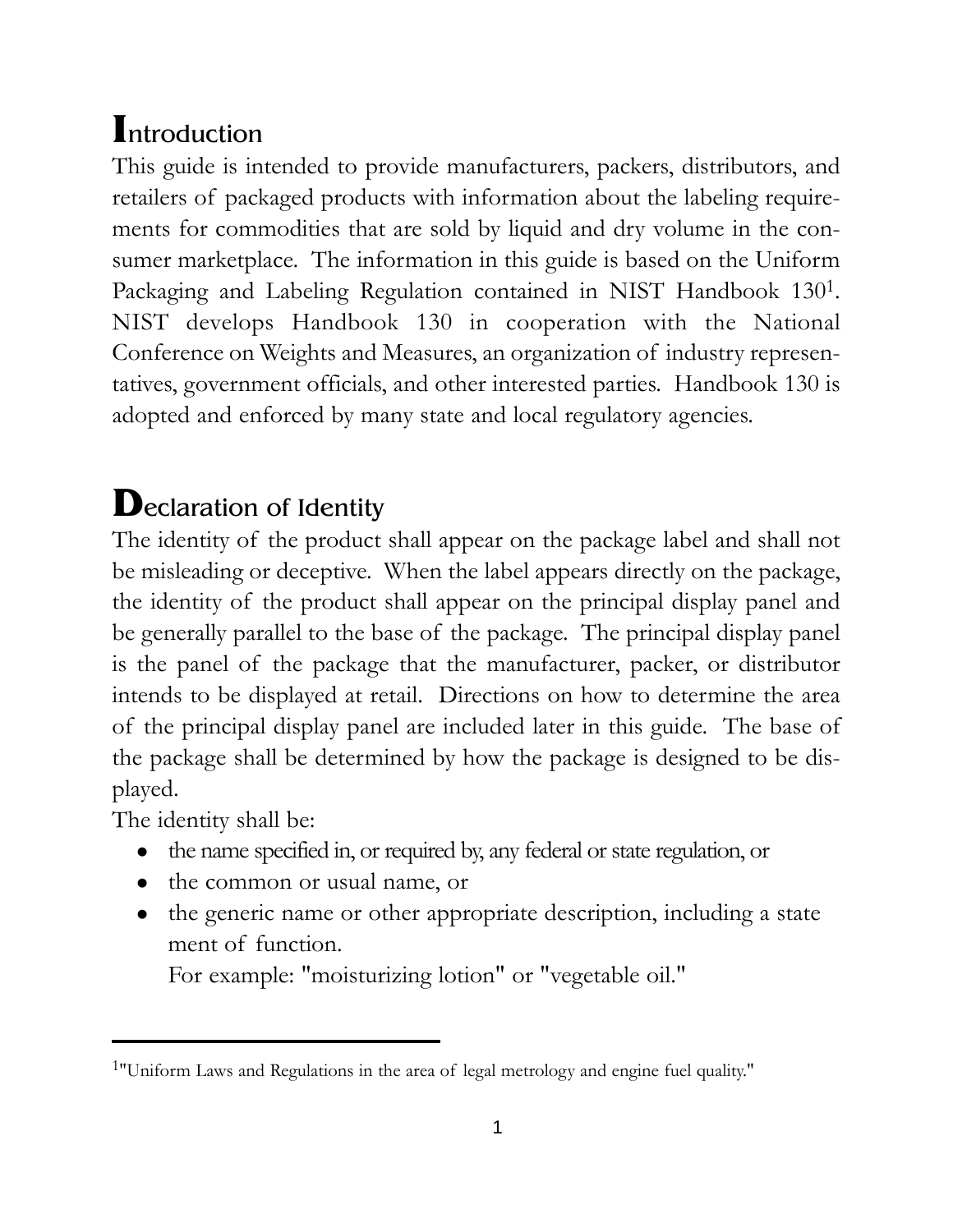## **I**ntroduction

This guide is intended to provide manufacturers, packers, distributors, and retailers of packaged products with information about the labeling requirements for commodities that are sold by liquid and dry volume in the consumer marketplace. The information in this guide is based on the Uniform Packaging and Labeling Regulation contained in NIST Handbook 1301. NIST develops Handbook 130 in cooperation with the National Conference on Weights and Measures, an organization of industry representatives, government officials, and other interested parties. Handbook 130 is adopted and enforced by many state and local regulatory agencies.

## **D**eclaration of Identity

The identity of the product shall appear on the package label and shall not be misleading or deceptive. When the label appears directly on the package, the identity of the product shall appear on the principal display panel and be generally parallel to the base of the package. The principal display panel is the panel of the package that the manufacturer, packer, or distributor intends to be displayed at retail. Directions on how to determine the area of the principal display panel are included later in this guide. The base of the package shall be determined by how the package is designed to be displayed.

The identity shall be:

- the name specified in, or required by, any federal or state regulation, or
- the common or usual name, or
- the generic name or other appropriate description, including a state ment of function.

For example: "moisturizing lotion" or "vegetable oil."

<sup>1&</sup>quot;Uniform Laws and Regulations in the area of legal metrology and engine fuel quality."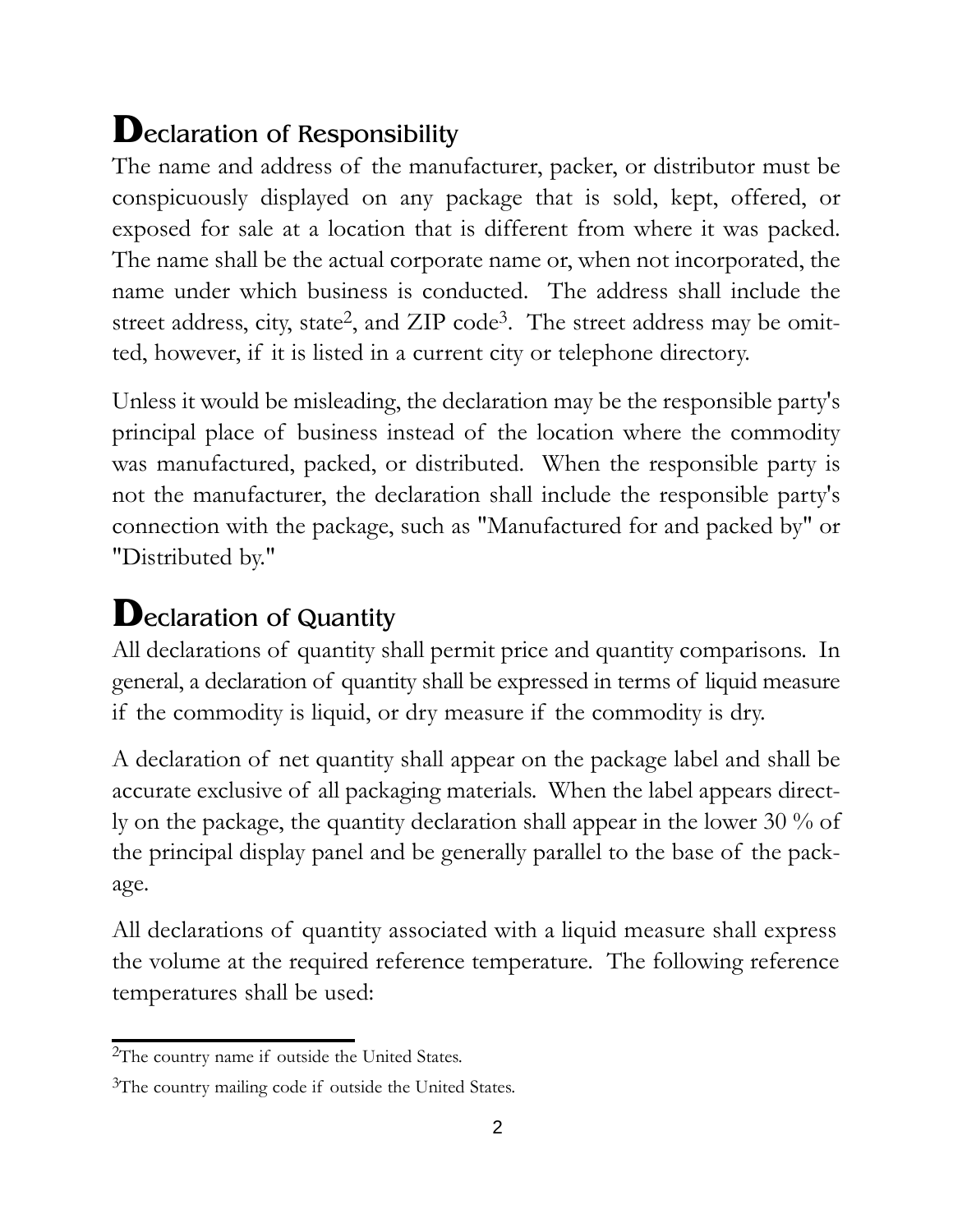## **D**eclaration of Responsibility

The name and address of the manufacturer, packer, or distributor must be conspicuously displayed on any package that is sold, kept, offered, or exposed for sale at a location that is different from where it was packed. The name shall be the actual corporate name or, when not incorporated, the name under which business is conducted. The address shall include the street address, city, state<sup>2</sup>, and ZIP code<sup>3</sup>. The street address may be omitted, however, if it is listed in a current city or telephone directory.

Unless it would be misleading, the declaration may be the responsible party's principal place of business instead of the location where the commodity was manufactured, packed, or distributed. When the responsible party is not the manufacturer, the declaration shall include the responsible party's connection with the package, such as "Manufactured for and packed by" or "Distributed by."

## **D**eclaration of Quantity

All declarations of quantity shall permit price and quantity comparisons. In general, a declaration of quantity shall be expressed in terms of liquid measure if the commodity is liquid, or dry measure if the commodity is dry.

A declaration of net quantity shall appear on the package label and shall be accurate exclusive of all packaging materials. When the label appears directly on the package, the quantity declaration shall appear in the lower 30 % of the principal display panel and be generally parallel to the base of the package.

All declarations of quantity associated with a liquid measure shall express the volume at the required reference temperature. The following reference temperatures shall be used:

<sup>2</sup>The country name if outside the United States.

<sup>&</sup>lt;sup>3</sup>The country mailing code if outside the United States.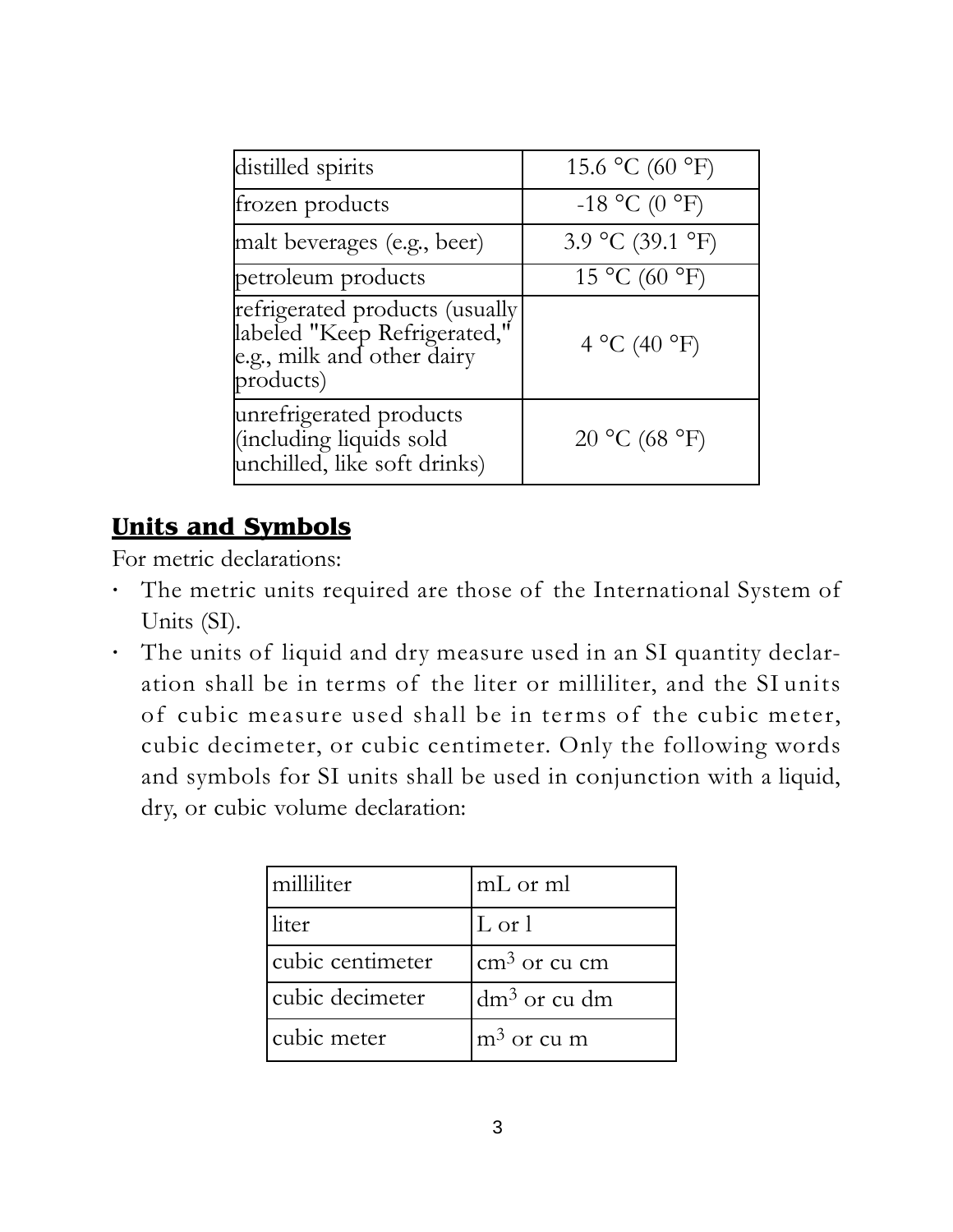| distilled spirits                                                                                          | 15.6 °C (60 °F)  |
|------------------------------------------------------------------------------------------------------------|------------------|
| frozen products                                                                                            | $-18$ °C (0 °F)  |
| malt beverages (e.g., beer)                                                                                | 3.9 °C (39.1 °F) |
| petroleum products                                                                                         | 15 °C (60 °F)    |
| refrigerated products (usually<br> labeled "Keep Refrigerated,"<br>e.g., milk and other dairy<br>products) | 4 °C (40 °F)     |
| unrefrigerated products<br>(including liquids sold<br>unchilled, like soft drinks)                         | 20 °C (68 °F)    |

#### **Units and Symbols**

For metric declarations:

- **·** The metric units required are those of the International System of Units (SI).
- **·** The units of liquid and dry measure used in an SI quantity declaration shall be in terms of the liter or milliliter, and the SI units of cubic measure used shall be in terms of the cubic meter, cubic decimeter, or cubic centimeter. Only the following words and symbols for SI units shall be used in conjunction with a liquid, dry, or cubic volume declaration:

| milliliter       | mL or ml                 |
|------------------|--------------------------|
| liter            | $\lfloor$ L or $\lfloor$ |
| cubic centimeter | $\text{cm}^3$ or cu cm   |
| cubic decimeter  | $dm3$ or cu dm           |
| cubic meter      | $m3$ or cu m             |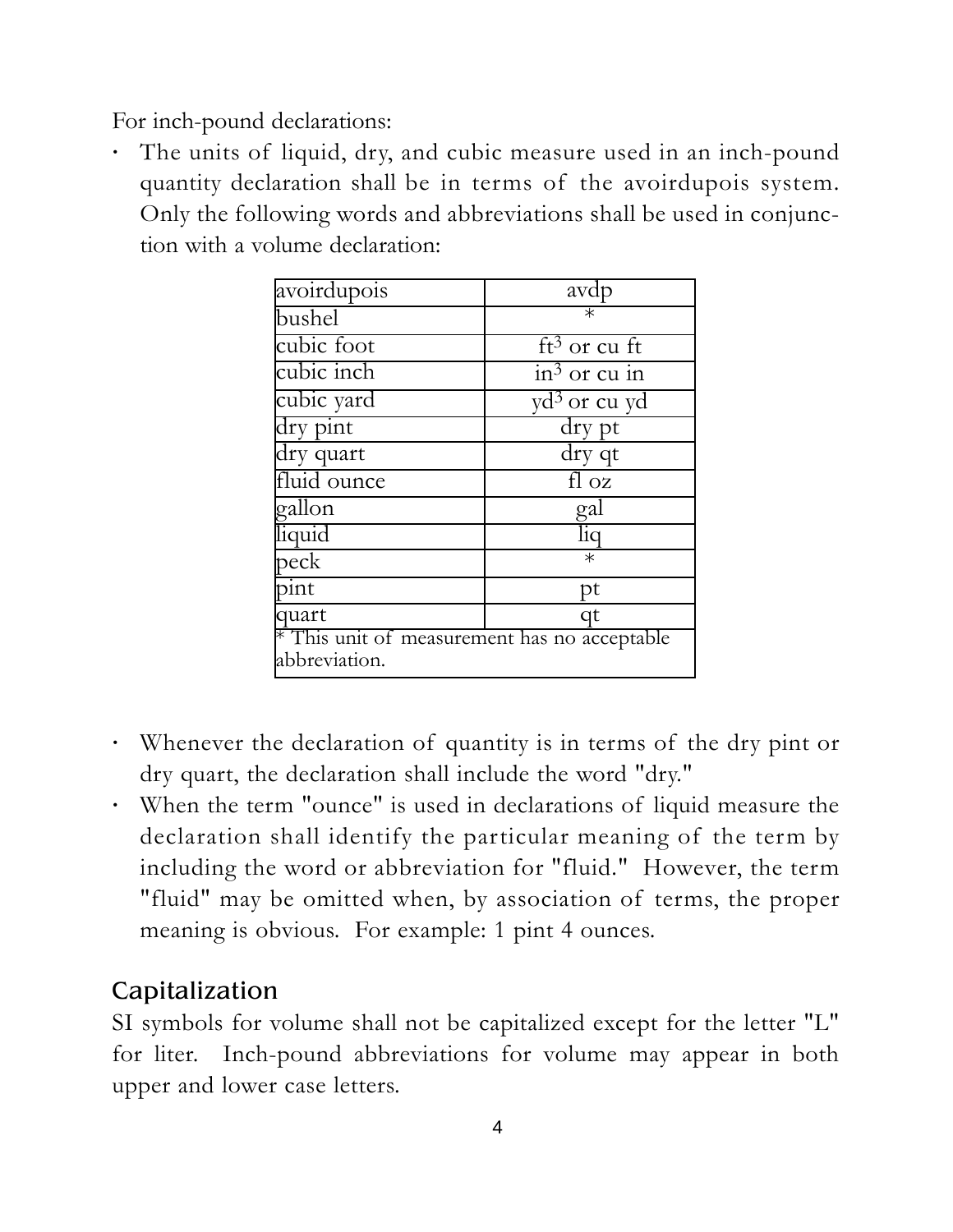For inch-pound declarations:

**·** The units of liquid, dry, and cubic measure used in an inch-pound quantity declaration shall be in terms of the avoirdupois system. Only the following words and abbreviations shall be used in conjunction with a volume declaration:

| avoirdupois                                                   | avdp                                   |
|---------------------------------------------------------------|----------------------------------------|
| bushel                                                        | $\overline{\ast}$                      |
| cubic foot                                                    | $ft3$ or cu ft                         |
| cubic inch                                                    | $\frac{1}{2}$ in <sup>3</sup> or cu in |
| cubic yard                                                    | yd <sup>3</sup> or cu yd               |
| dry pint                                                      | $\overline{dry}$ pt                    |
| dry quart                                                     | dry qt                                 |
| fluid ounce                                                   | $f \overline{\log}$                    |
| gallon                                                        | gal                                    |
| liquid                                                        | liq                                    |
| peck                                                          | $\ast$                                 |
| pint                                                          | pt                                     |
| quart                                                         | qt                                     |
| * This unit of measurement has no acceptable<br>abbreviation. |                                        |

- **·** Whenever the declaration of quantity is in terms of the dry pint or dry quart, the declaration shall include the word "dry."
- **·** When the term "ounce" is used in declarations of liquid measure the declaration shall identify the particular meaning of the term by including the word or abbreviation for "fluid." However, the term "fluid" may be omitted when, by association of terms, the proper meaning is obvious. For example: 1 pint 4 ounces.

#### Capitalization

SI symbols for volume shall not be capitalized except for the letter "L" for liter. Inch-pound abbreviations for volume may appear in both upper and lower case letters.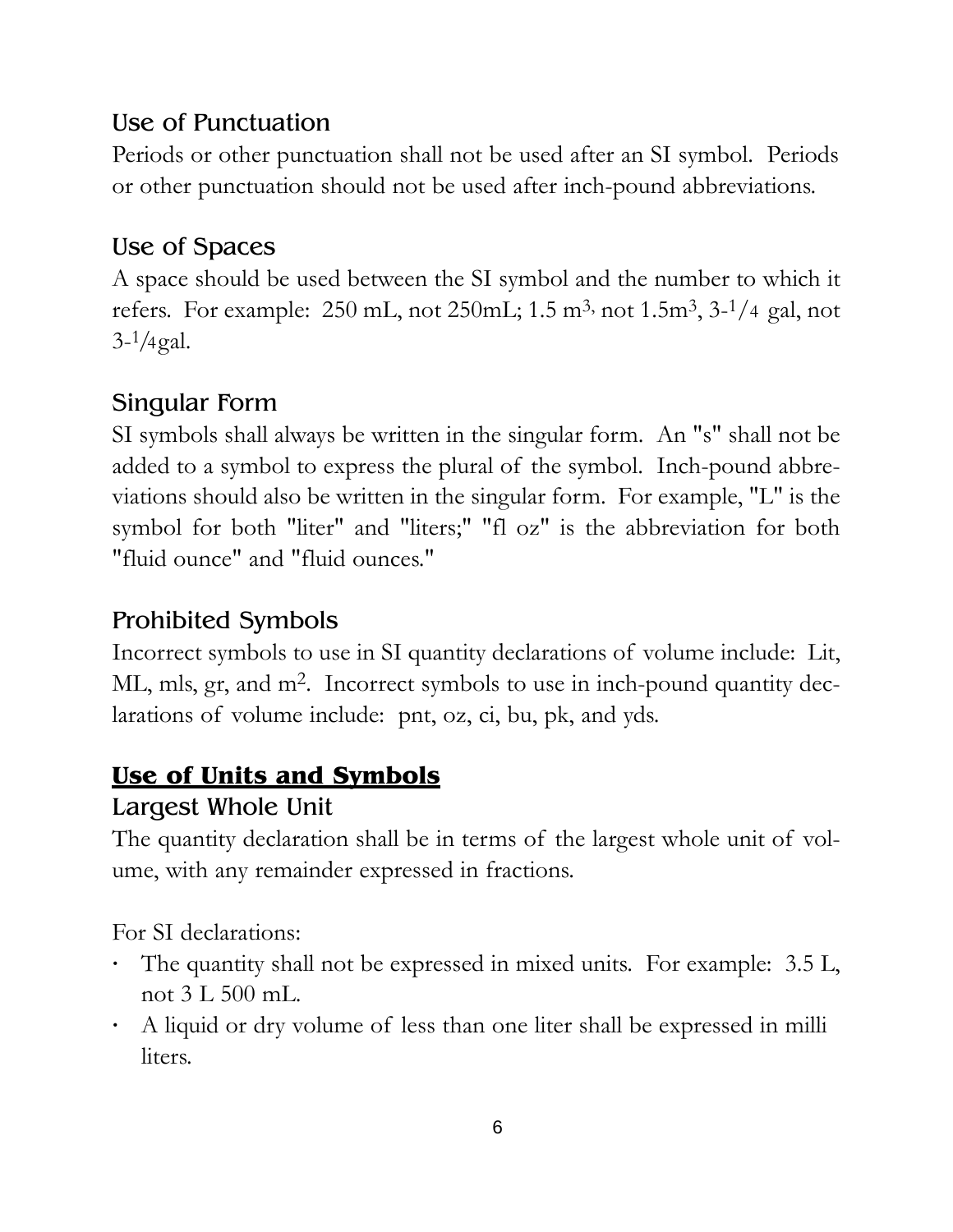#### Use of Punctuation

Periods or other punctuation shall not be used after an SI symbol. Periods or other punctuation should not be used after inch-pound abbreviations.

#### Use of Spaces

A space should be used between the SI symbol and the number to which it refers. For example:  $250$  mL, not  $250$ mL;  $1.5$  m<sup>3</sup>, not  $1.5$ m<sup>3</sup>,  $3-1/4$  gal, not  $3-1/4$  gal.

#### Singular Form

SI symbols shall always be written in the singular form. An "s" shall not be added to a symbol to express the plural of the symbol. Inch-pound abbreviations should also be written in the singular form. For example, "L" is the symbol for both "liter" and "liters;" "fl oz" is the abbreviation for both "fluid ounce" and "fluid ounces."

#### Prohibited Symbols

Incorrect symbols to use in SI quantity declarations of volume include: Lit, ML, mls, gr, and m<sup>2</sup>. Incorrect symbols to use in inch-pound quantity declarations of volume include: pnt, oz, ci, bu, pk, and yds.

#### **Use of Units and Symbols**

#### Largest Whole Unit

The quantity declaration shall be in terms of the largest whole unit of volume, with any remainder expressed in fractions.

For SI declarations:

- **·** The quantity shall not be expressed in mixed units. For example: 3.5 L, not 3 L 500 mL.
- **·** A liquid or dry volume of less than one liter shall be expressed in milli liters.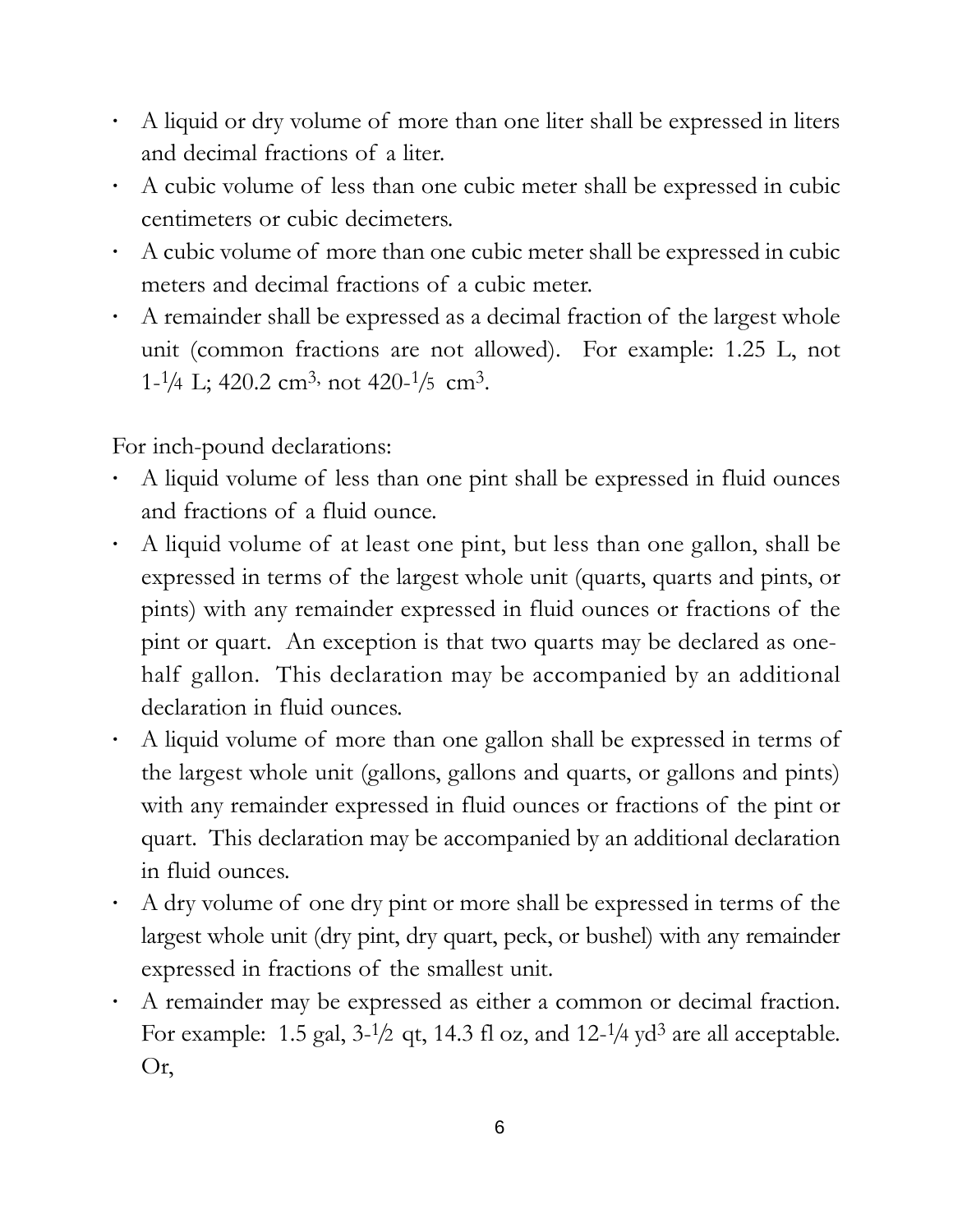- **·** A liquid or dry volume of more than one liter shall be expressed in liters and decimal fractions of a liter.
- **·** A cubic volume of less than one cubic meter shall be expressed in cubic centimeters or cubic decimeters.
- **·** A cubic volume of more than one cubic meter shall be expressed in cubic meters and decimal fractions of a cubic meter.
- **·** A remainder shall be expressed as a decimal fraction of the largest whole unit (common fractions are not allowed). For example: 1.25 L, not  $1-\frac{1}{4}$  L; 420.2 cm<sup>3</sup>, not 420- $\frac{1}{5}$  cm<sup>3</sup>.

For inch-pound declarations:

- **·** A liquid volume of less than one pint shall be expressed in fluid ounces and fractions of a fluid ounce.
- **·** A liquid volume of at least one pint, but less than one gallon, shall be expressed in terms of the largest whole unit (quarts, quarts and pints, or pints) with any remainder expressed in fluid ounces or fractions of the pint or quart. An exception is that two quarts may be declared as onehalf gallon. This declaration may be accompanied by an additional declaration in fluid ounces.
- **·** A liquid volume of more than one gallon shall be expressed in terms of the largest whole unit (gallons, gallons and quarts, or gallons and pints) with any remainder expressed in fluid ounces or fractions of the pint or quart. This declaration may be accompanied by an additional declaration in fluid ounces.
- **·** A dry volume of one dry pint or more shall be expressed in terms of the largest whole unit (dry pint, dry quart, peck, or bushel) with any remainder expressed in fractions of the smallest unit.
- **·** A remainder may be expressed as either a common or decimal fraction. For example: 1.5 gal,  $3-1/2$  qt, 14.3 fl oz, and 12- $1/4$  yd<sup>3</sup> are all acceptable. Or,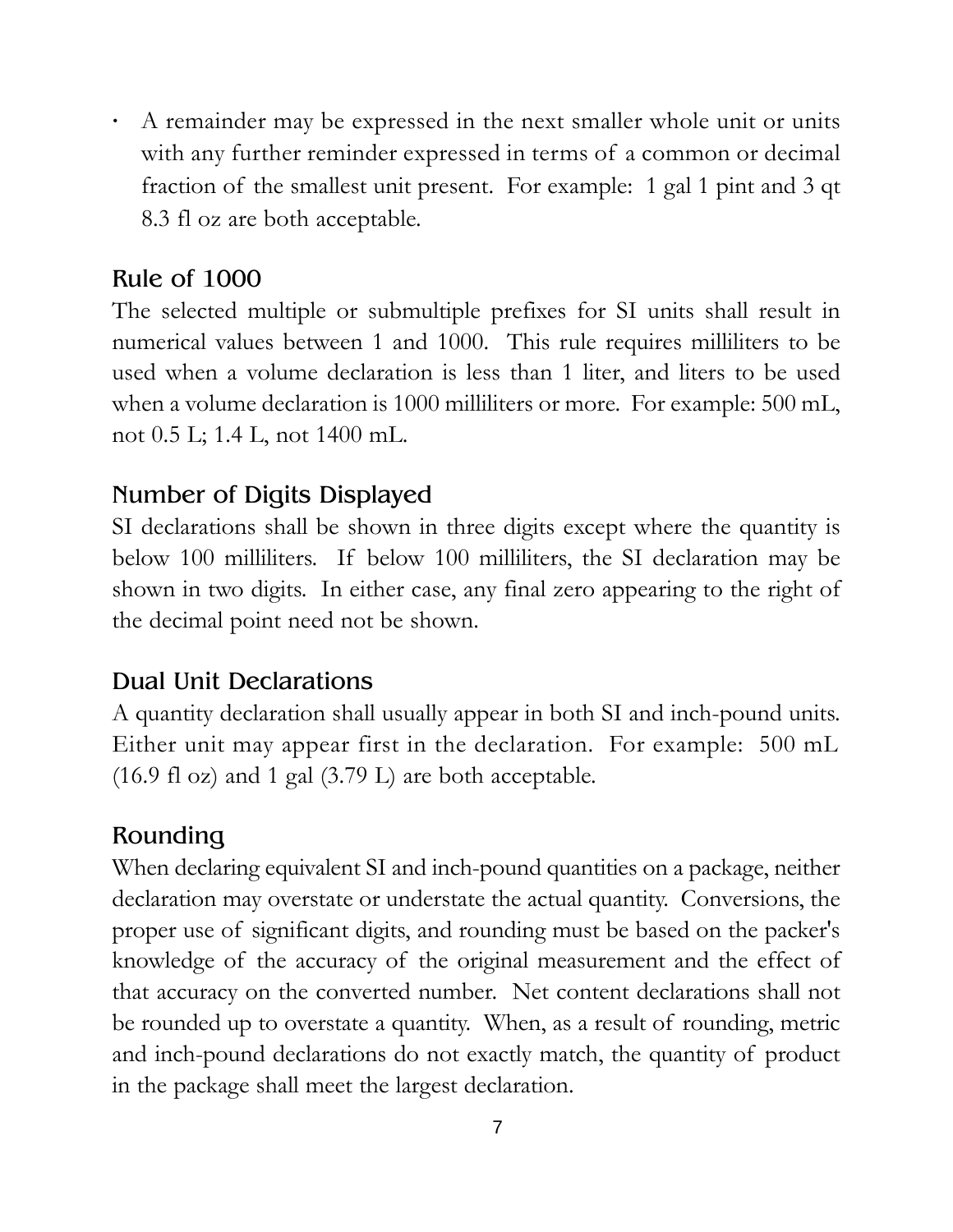**·** A remainder may be expressed in the next smaller whole unit or units with any further reminder expressed in terms of a common or decimal fraction of the smallest unit present. For example: 1 gal 1 pint and 3 qt 8.3 fl oz are both acceptable.

#### Rule of 1000

The selected multiple or submultiple prefixes for SI units shall result in numerical values between 1 and 1000. This rule requires milliliters to be used when a volume declaration is less than 1 liter, and liters to be used when a volume declaration is 1000 milliliters or more. For example: 500 mL, not 0.5 L; 1.4 L, not 1400 mL.

#### Number of Digits Displayed

SI declarations shall be shown in three digits except where the quantity is below 100 milliliters. If below 100 milliliters, the SI declaration may be shown in two digits. In either case, any final zero appearing to the right of the decimal point need not be shown.

#### Dual Unit Declarations

A quantity declaration shall usually appear in both SI and inch-pound units. Either unit may appear first in the declaration. For example: 500 mL (16.9 fl oz) and 1 gal (3.79 L) are both acceptable.

#### Rounding

When declaring equivalent SI and inch-pound quantities on a package, neither declaration may overstate or understate the actual quantity. Conversions, the proper use of significant digits, and rounding must be based on the packer's knowledge of the accuracy of the original measurement and the effect of that accuracy on the converted number. Net content declarations shall not be rounded up to overstate a quantity. When, as a result of rounding, metric and inch-pound declarations do not exactly match, the quantity of product in the package shall meet the largest declaration.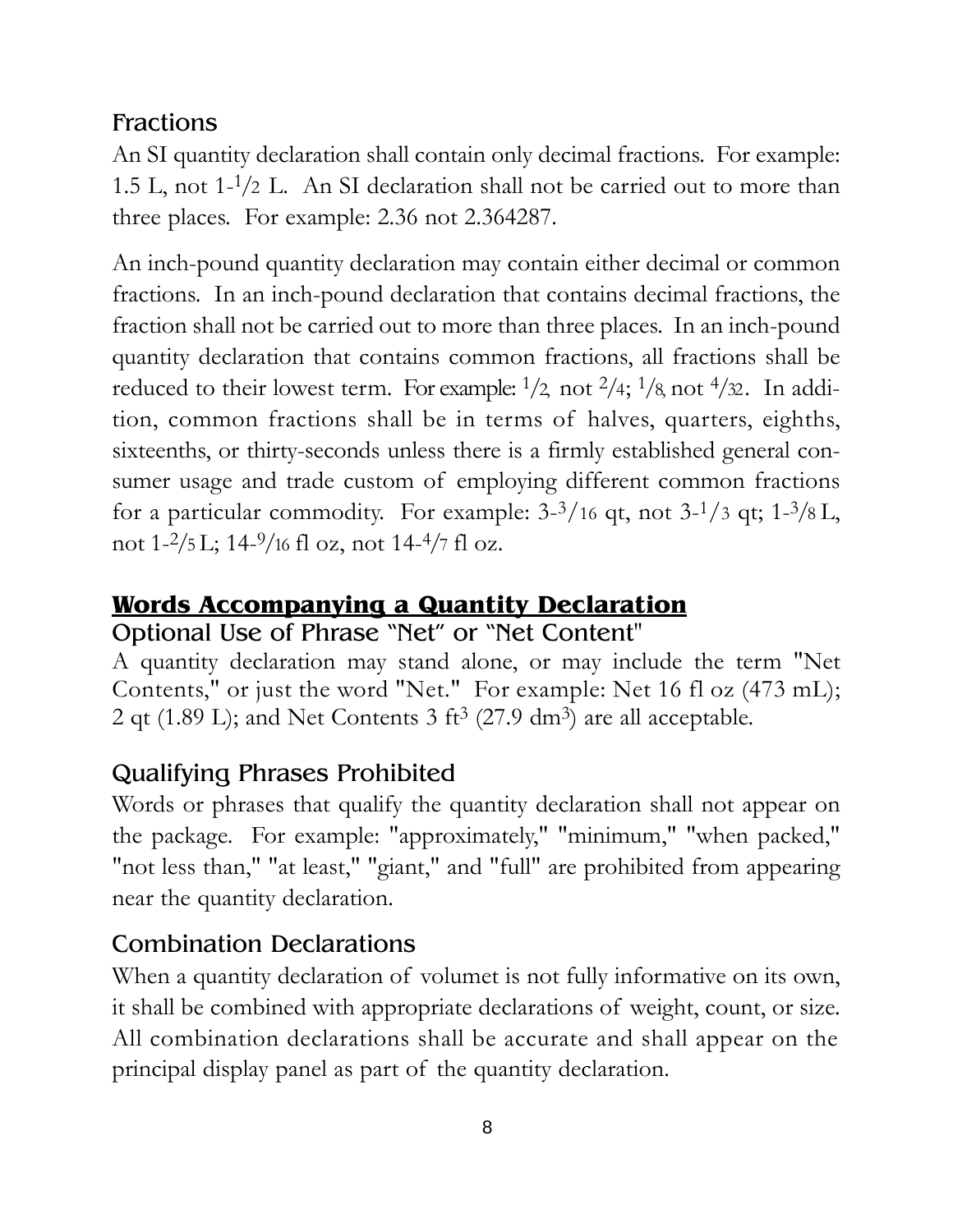#### Fractions

An SI quantity declaration shall contain only decimal fractions. For example: 1.5 L, not  $1-\frac{1}{2}$  L. An SI declaration shall not be carried out to more than three places. For example: 2.36 not 2.364287.

An inch-pound quantity declaration may contain either decimal or common fractions. In an inch-pound declaration that contains decimal fractions, the fraction shall not be carried out to more than three places. In an inch-pound quantity declaration that contains common fractions, all fractions shall be reduced to their lowest term. For example:  $\frac{1}{2}$  not  $\frac{2}{4}$ ;  $\frac{1}{8}$  not  $\frac{4}{32}$ . In addition, common fractions shall be in terms of halves, quarters, eighths, sixteenths, or thirty-seconds unless there is a firmly established general consumer usage and trade custom of employing different common fractions for a particular commodity. For example:  $3-3/16$  qt, not  $3-1/3$  qt;  $1-3/8$  L, not  $1-2/5$  L;  $14-9/16$  fl oz, not  $14-4/7$  fl oz.

#### **Words Accompanying a Quantity Declaration**

#### Optional Use of Phrase "Net" or "Net Content"

A quantity declaration may stand alone, or may include the term "Net Contents," or just the word "Net." For example: Net 16 fl oz (473 mL); 2 qt (1.89 L); and Net Contents 3 ft<sup>3</sup> (27.9 dm<sup>3</sup>) are all acceptable.

#### Qualifying Phrases Prohibited

Words or phrases that qualify the quantity declaration shall not appear on the package. For example: "approximately," "minimum," "when packed," "not less than," "at least," "giant," and "full" are prohibited from appearing near the quantity declaration.

#### Combination Declarations

When a quantity declaration of volumet is not fully informative on its own, it shall be combined with appropriate declarations of weight, count, or size. All combination declarations shall be accurate and shall appear on the principal display panel as part of the quantity declaration.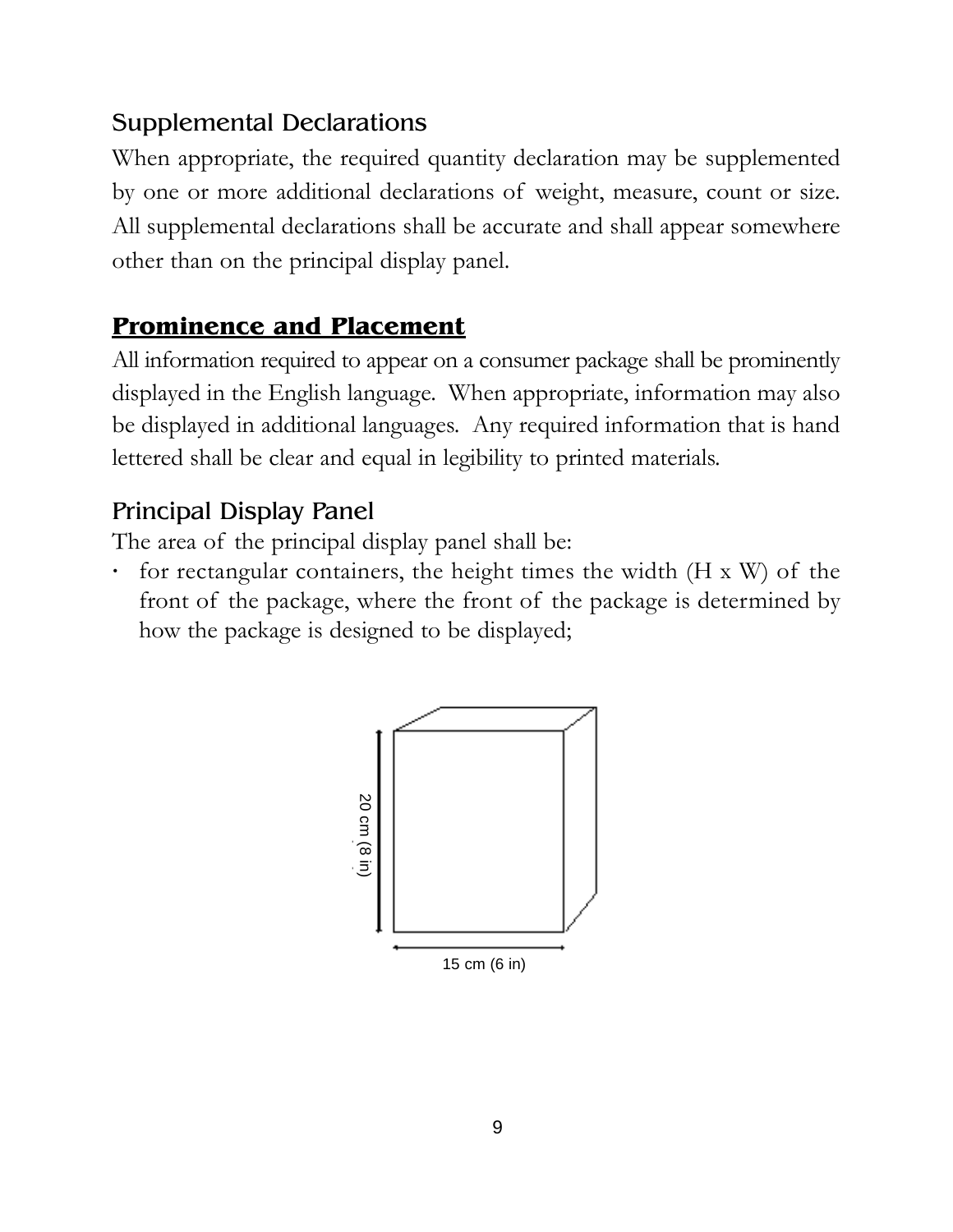#### Supplemental Declarations

When appropriate, the required quantity declaration may be supplemented by one or more additional declarations of weight, measure, count or size. All supplemental declarations shall be accurate and shall appear somewhere other than on the principal display panel.

#### **Prominence and Placement**

All information required to appear on a consumer package shall be prominently displayed in the English language. When appropriate, information may also be displayed in additional languages. Any required information that is hand lettered shall be clear and equal in legibility to printed materials.

#### Principal Display Panel

The area of the principal display panel shall be:

**·** for rectangular containers, the height times the width (H x W) of the front of the package, where the front of the package is determined by how the package is designed to be displayed;

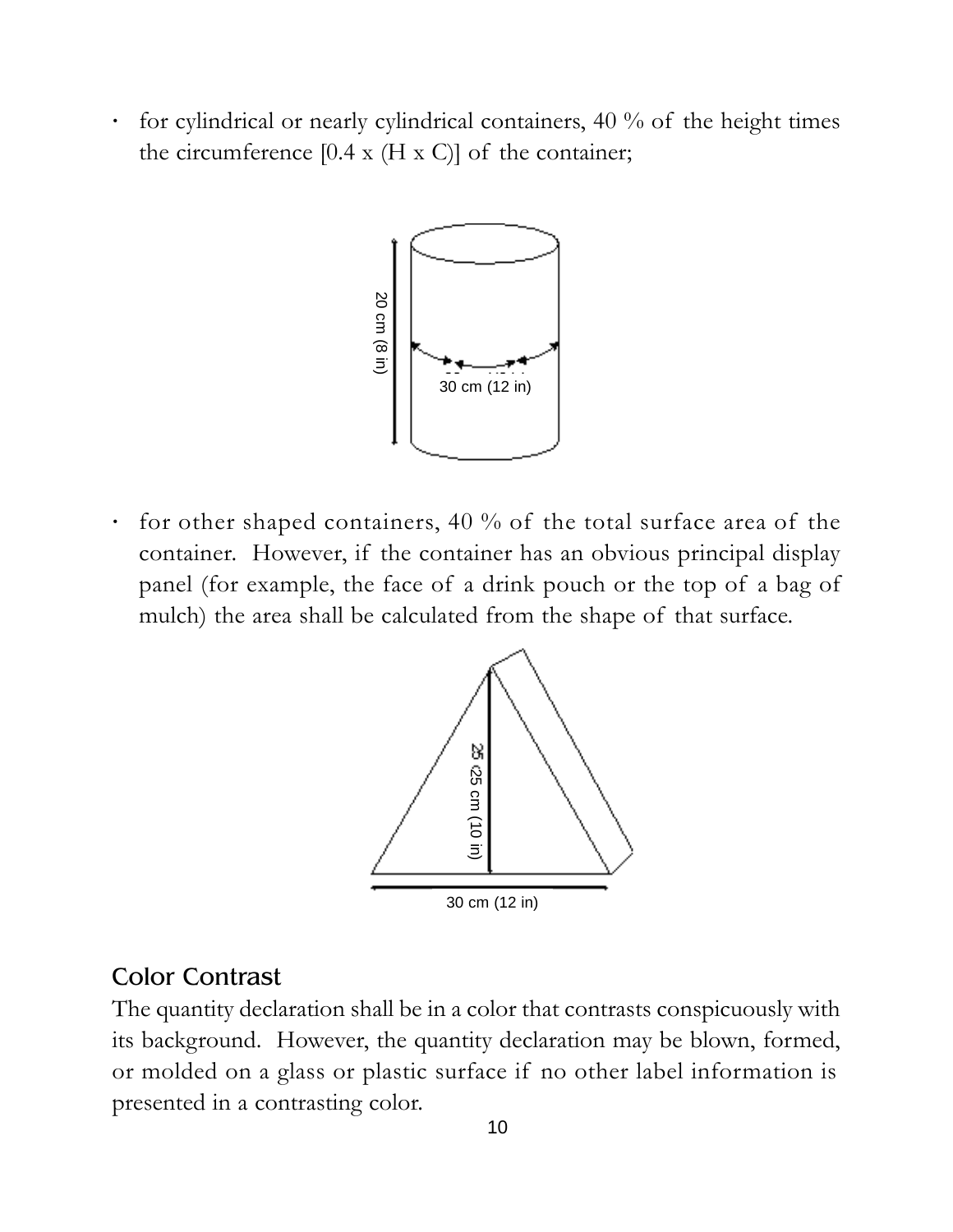**·** for cylindrical or nearly cylindrical containers, 40 % of the height times the circumference  $[0.4 \times (H \times C)]$  of the container;



**·** for other shaped containers, 40 % of the total surface area of the container. However, if the container has an obvious principal display panel (for example, the face of a drink pouch or the top of a bag of mulch) the area shall be calculated from the shape of that surface.  $\begin{bmatrix}\n\frac{1}{2} \\
\frac{2}{3} \\
\frac{3}{2} \\
\frac{3}{3}\n\end{bmatrix}$ <br>  $\begin{bmatrix}\n\frac{1}{2} \\
\frac{1}{2} \\
\frac{1}{3}\n\end{bmatrix}$ <br>  $\begin{bmatrix}\n\text{constant} \\
\text{for example, the face\n\end{bmatrix}$ <br>  $\begin{bmatrix}\n\text{mulch}\n\end{bmatrix}$  the area shall be calculated in a contrast<br>
The quantity declaration shall



#### Color Contrast

The quantity declaration shall be in a color that contrasts conspicuously with its background. However, the quantity declaration may be blown, formed, or molded on a glass or plastic surface if no other label information is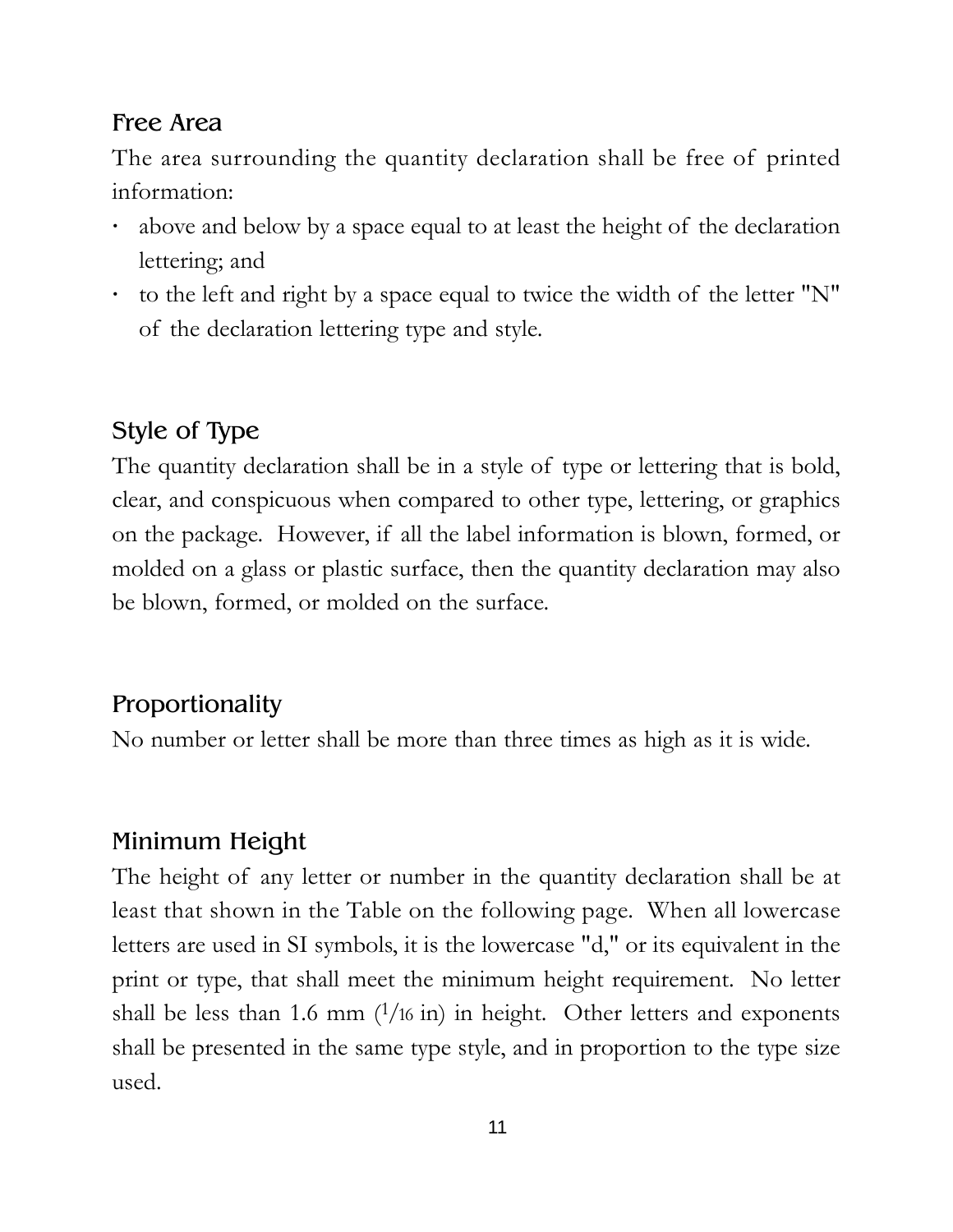#### Free Area

The area surrounding the quantity declaration shall be free of printed information:

- **·** above and below by a space equal to at least the height of the declaration lettering; and
- **·** to the left and right by a space equal to twice the width of the letter "N" of the declaration lettering type and style.

#### Style of Type

The quantity declaration shall be in a style of type or lettering that is bold, clear, and conspicuous when compared to other type, lettering, or graphics on the package. However, if all the label information is blown, formed, or molded on a glass or plastic surface, then the quantity declaration may also be blown, formed, or molded on the surface.

#### Proportionality

No number or letter shall be more than three times as high as it is wide.

#### Minimum Height

The height of any letter or number in the quantity declaration shall be at least that shown in the Table on the following page. When all lowercase letters are used in SI symbols, it is the lowercase "d," or its equivalent in the print or type, that shall meet the minimum height requirement. No letter shall be less than 1.6 mm  $(1/16 \text{ in})$  in height. Other letters and exponents shall be presented in the same type style, and in proportion to the type size used.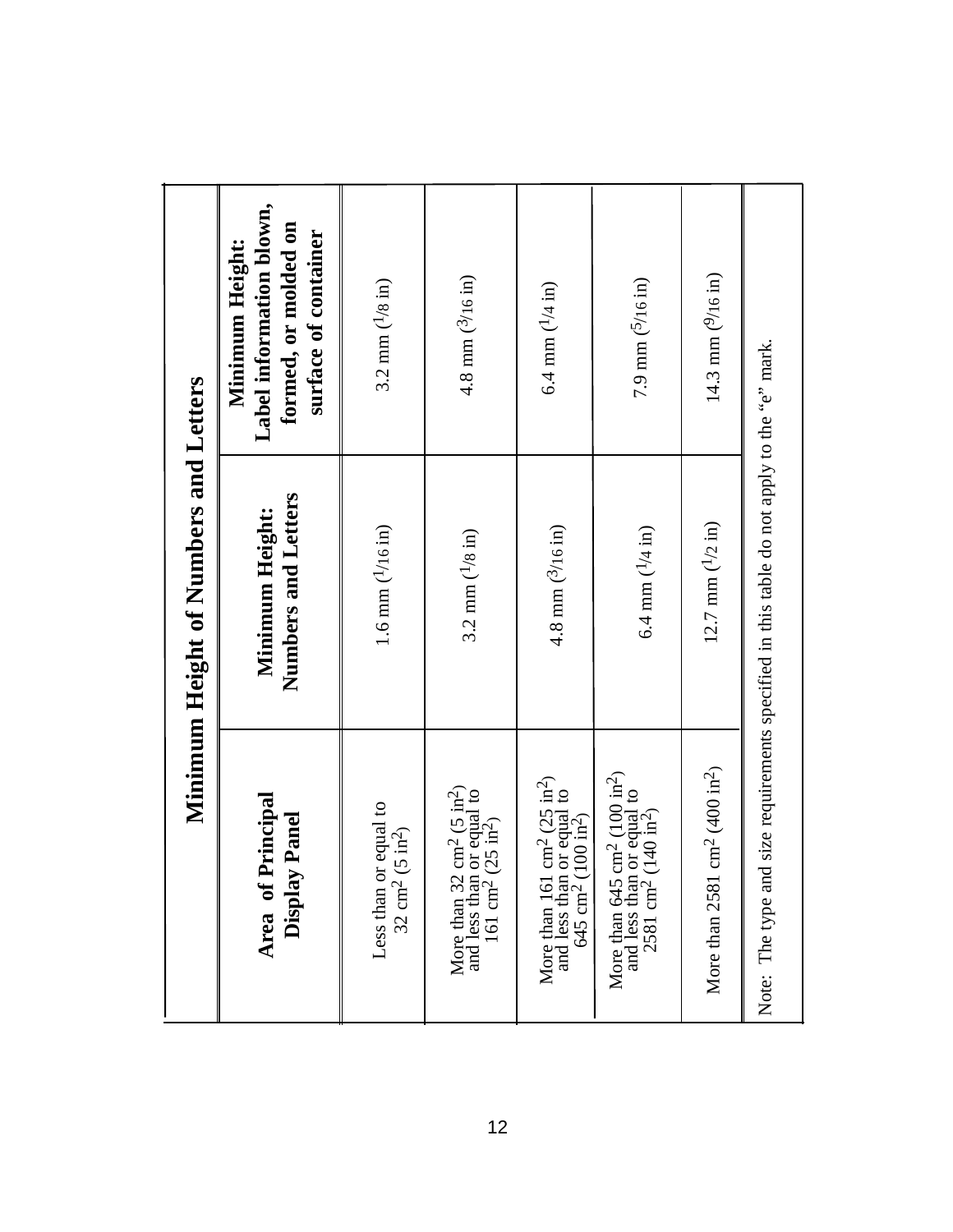|                                                                                                                                                            | Minimum Height of Numbers and Letters  |                                                                                             |
|------------------------------------------------------------------------------------------------------------------------------------------------------------|----------------------------------------|---------------------------------------------------------------------------------------------|
| Principal<br>y Panel<br>Display<br>Area of                                                                                                                 | Numbers and Letters<br>Minimum Height: | Label information blown,<br>formed, or molded on<br>surface of container<br>Minimum Height: |
| Less than or equal to<br>$(5 \text{ in}^2)$<br>$32 \text{ cm}^2$                                                                                           | 1.6 mm $(^{1}{16}$ in)                 | 3.2 mm $(^{1}/8 \text{ in})$                                                                |
| $\text{cm}^2 \text{ (5 in}^2)$<br>n or equal to<br>$2(25 \text{ in}^2)$<br>More than 32<br>and less than<br>161 cm <sup>2</sup> (                          | 3.2 mm $(^{1}/8 \text{ in})$           | 4.8 mm $(^{3}/16 \text{ in})$                                                               |
| cm <sup>2</sup> (25 in <sup>2</sup> )<br>n or equal to<br>(100 in <sup>2</sup> )<br>More than 161<br>and less than<br>$645 \text{ cm}^2$ (1                | 4.8 mm $(^{3}/16 \text{ in})$          | 6.4 mm $(1/4 \text{ in})$                                                                   |
| 5 cm <sup>2</sup> (100 in <sup>2</sup> )<br>n or equal to<br>$(140 \text{ in}^2)$<br>More than $645$ c<br>and less than $\frac{1}{2581}$ cm <sup>2</sup> ( | 6.4 mm $(1/4 \text{ in})$              | 7.9 mm $(5/16 \text{ in})$                                                                  |
| $\text{cm}^2 (400 \text{ in}^2)$<br>More than 2581                                                                                                         | 12.7 mm $(1/2 \text{ in})$             | 14.3 mm $(^{9}/16 \text{ in})$                                                              |
| Note: The type and size requirements specified in this table do not apply to the "e" mark.                                                                 |                                        |                                                                                             |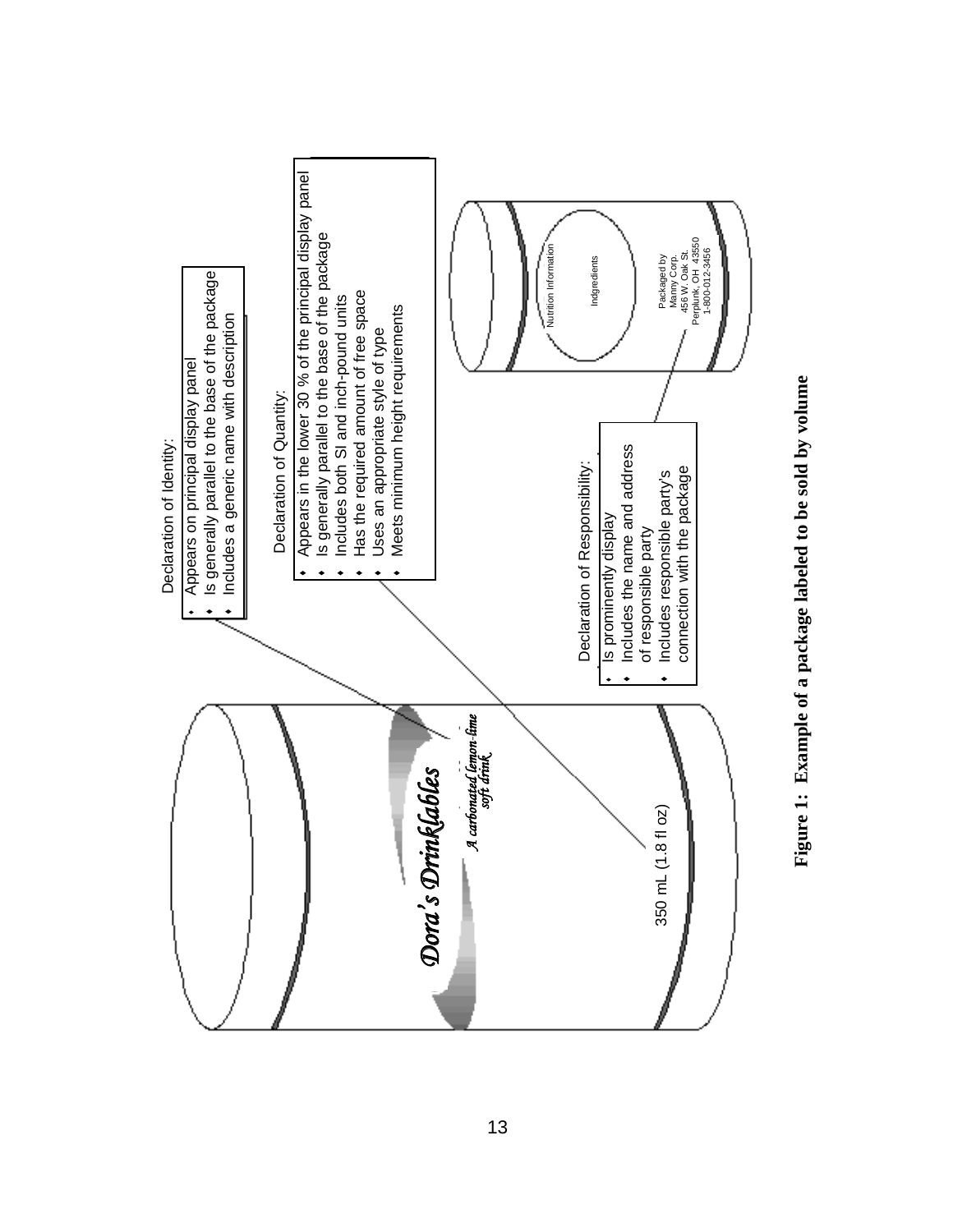

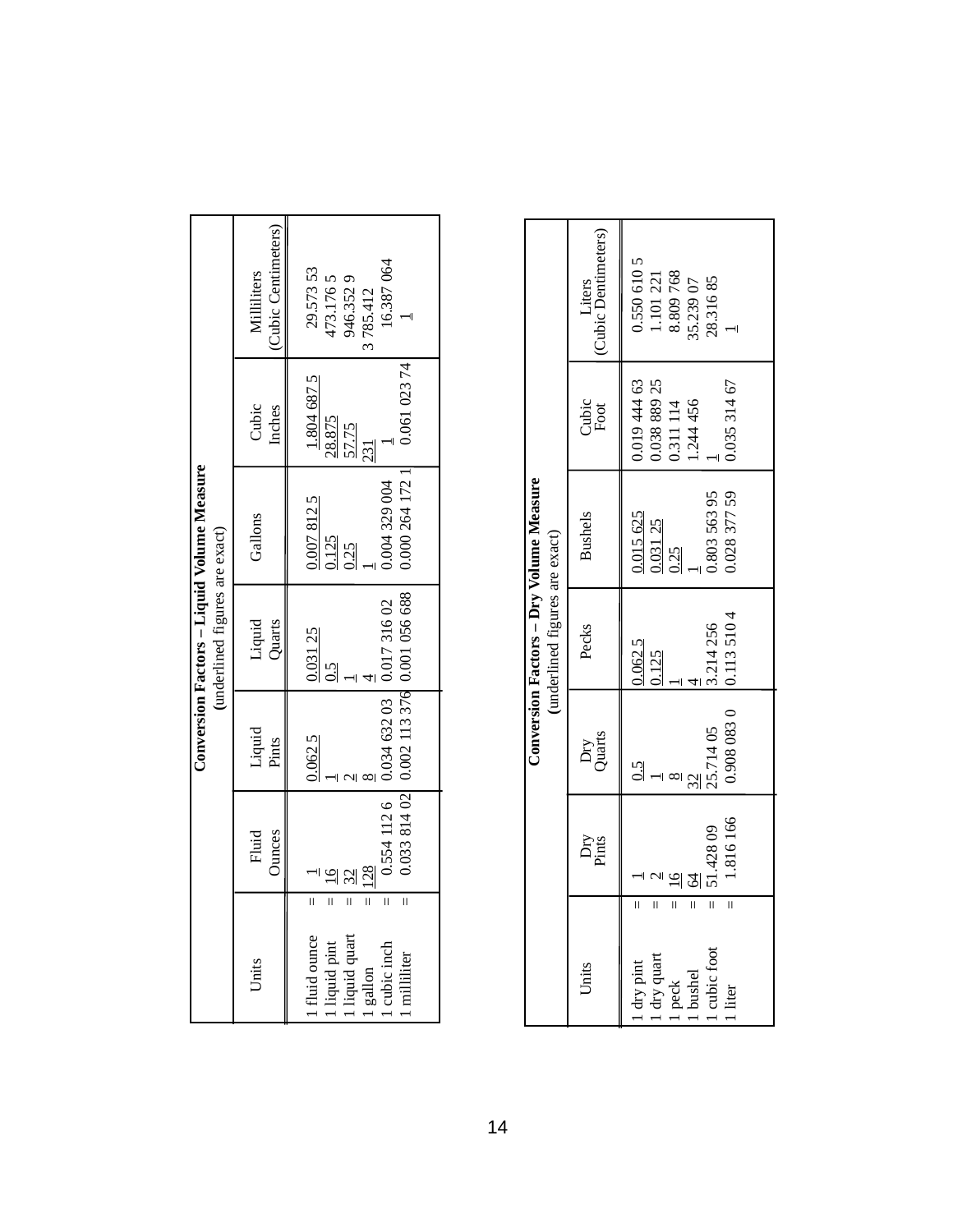|                                                                                                                                                                                                                  |                                |                                                                                                 | (underlined figures are exact) | Conversion Factors - Liquid Volume Measure           |                                                       |                                                          |
|------------------------------------------------------------------------------------------------------------------------------------------------------------------------------------------------------------------|--------------------------------|-------------------------------------------------------------------------------------------------|--------------------------------|------------------------------------------------------|-------------------------------------------------------|----------------------------------------------------------|
| Units                                                                                                                                                                                                            | Fluid<br>Ounces                | Liquid<br>Pints                                                                                 | Liquid<br>Quarts               | Gallons                                              | Cubic<br>Inches                                       | Cubic Centimeters)<br>Milliliters                        |
| $\overline{\mathbf{u}}$<br>$\overline{\mathbb{I}}$<br>$\overline{\mathbf{u}}$<br>$\overline{\mathbf{u}}$<br>$\frac{1}{11}$<br>. fluid ounce<br>liquid quart<br>liquid pint<br>cubic inch<br>milliliter<br>gallon | 128<br>$\overline{\mathbb{I}}$ | 0.033 814 02 0.002 113 376 0.001 056 688<br>0.554 112 6   0.034 632 03   0.017 316 02<br>0.0625 | 0.031 25<br>$\frac{5}{2}$      | 0.000 264 172 1<br>0.04 329 004<br>0.0078125<br>1125 | 0.061 023 74<br>1.804 687 5<br>28.875<br>57.75<br>231 | 16.387064<br>29.57353<br>173.1765<br>946.3529<br>785.412 |

|                                                                                                                                                                                  |                            |                                                | (underlined figures are exact)            | Conversion Factors - Dry Volume Measure                        |                                                                       |                                                                      |
|----------------------------------------------------------------------------------------------------------------------------------------------------------------------------------|----------------------------|------------------------------------------------|-------------------------------------------|----------------------------------------------------------------|-----------------------------------------------------------------------|----------------------------------------------------------------------|
| Units                                                                                                                                                                            | Dry<br>Pints               | Dry<br>Quarts                                  | Pecks                                     | <b>Bushels</b>                                                 | Cubic<br>Foot                                                         | Liters<br>Cubic Dentimeters)                                         |
| $\overline{\mathbf{u}}$<br>$\overline{\mathbf{u}}$<br>$\overline{\mathbf{I}}$<br>ĪĪ<br>$\bar{\mathbf{I}}$<br>Ī<br>cubic foot<br>dry pint<br>dry quart<br>peck<br>bushel<br>liter | 1.816166<br>51.42809<br>24 | 0.908 083 0<br>25.71405<br>$\frac{5}{2}$<br>32 | 0.113 510 4<br>3.214256<br>0.0625<br>1125 | 0.803 563 95<br>0.028 377 59<br>$\frac{0.015\ 625}{0.031\ 25}$ | 0.019 444 63<br>1.038 889 25<br>0.35 314 67<br>0.311 114<br>1.244 456 | 0.550 610 5<br>1.101 221<br>8.809 768<br>55.239 07<br>28.31685<br>⊣∣ |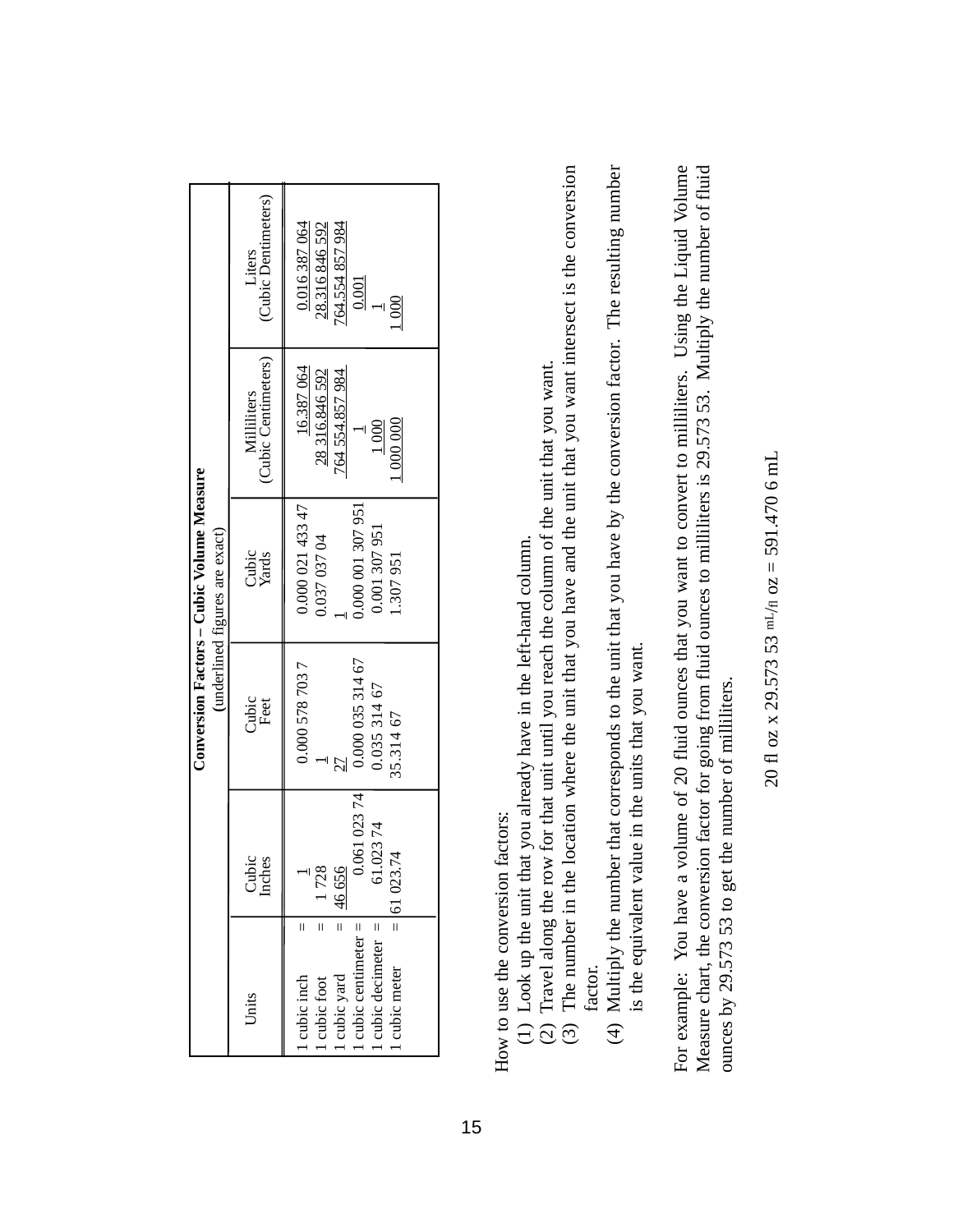|                                                                                                                                                                        |                                                          |                                                                | Conversion Factors – Cubic Volume Measure<br>(underlined figures are exact)       |                                                                                              |                                                                            |
|------------------------------------------------------------------------------------------------------------------------------------------------------------------------|----------------------------------------------------------|----------------------------------------------------------------|-----------------------------------------------------------------------------------|----------------------------------------------------------------------------------------------|----------------------------------------------------------------------------|
| Units                                                                                                                                                                  | Cubic<br>Inches                                          | Cubic<br>Feet                                                  | Cubic<br>Yards                                                                    | (Cubic Centimeters)<br>Milliliters                                                           | (Cubic Dentimeters)<br>Liters                                              |
| $\frac{1}{11}$<br>$\overline{\mathbf{u}}$<br>П<br>cubic yard $=$ cubic centimeter $=$<br>cubic decimeter $=$<br>cubic meter<br>cubic inch<br>$\blacksquare$ cubic foot | 0.061 023 74<br>1.02374<br>$= 61023.74$<br>1728<br>46656 | 0.000 035 314 67<br>0.000 578 703 7<br>0.03531467<br>35.314 67 | 0.000 021 433 47<br>0.000 001 307 951<br>0.001 307 951<br>0.037 037 04<br>.307951 | 16.387 064<br>28 316.846 592<br>764 554.857 984<br>$\overline{000}$ $000$<br>$\frac{000}{1}$ | 0.016387064<br>28.316846592<br>764.554 857 984<br>0.001<br>$\frac{000}{1}$ |

How to use the conversion factors: How to use the conversion factors:

- (1) Look up the unit that you already have in the left-hand column. (1) Look up the unit that you already have in the left-hand column.
- (2) Travel along the row for that unit until you reach the column of the unit that you want. (2) Travel along the row for that unit until you reach the column of the unit that you want.
- (3) The number in the location where the unit that you have and the unit that you want intersect is the conversion (3) The number in the location where the unit that you have and the unit that you want intersect is the conversion factor.
- (4) Multiply the number that corresponds to the unit that you have by the conversion factor. The resulting number (4) Multiply the number that corresponds to the unit that you have by the conversion factor. The resulting number is the equivalent value in the units that you want. is the equivalent value in the units that you want.

For example: You have a volume of 20 fluid ounces that you want to convert to milliliters. Using the Liquid Volume Measure chart, the conversion factor for going from fluid ounces to milliliters is 29.573 53. Multiply the number of fluid For example: You have a volume of 20 fluid ounces that you want to convert to milliliters. Using the Liquid Volume Measure chart, the conversion factor for going from fluid ounces to milliliters is 29.573 53. Multiply the number of fluid ounces by 29.573 53 to get the number of milliliters. ounces by 29.573 53 to get the number of milliliters.

20 fl oz x 29.573 53 mL/H oz = 591.470 6 mL 20 fl oz x 29.573 53 mL/fl oz = 591.470 6 mL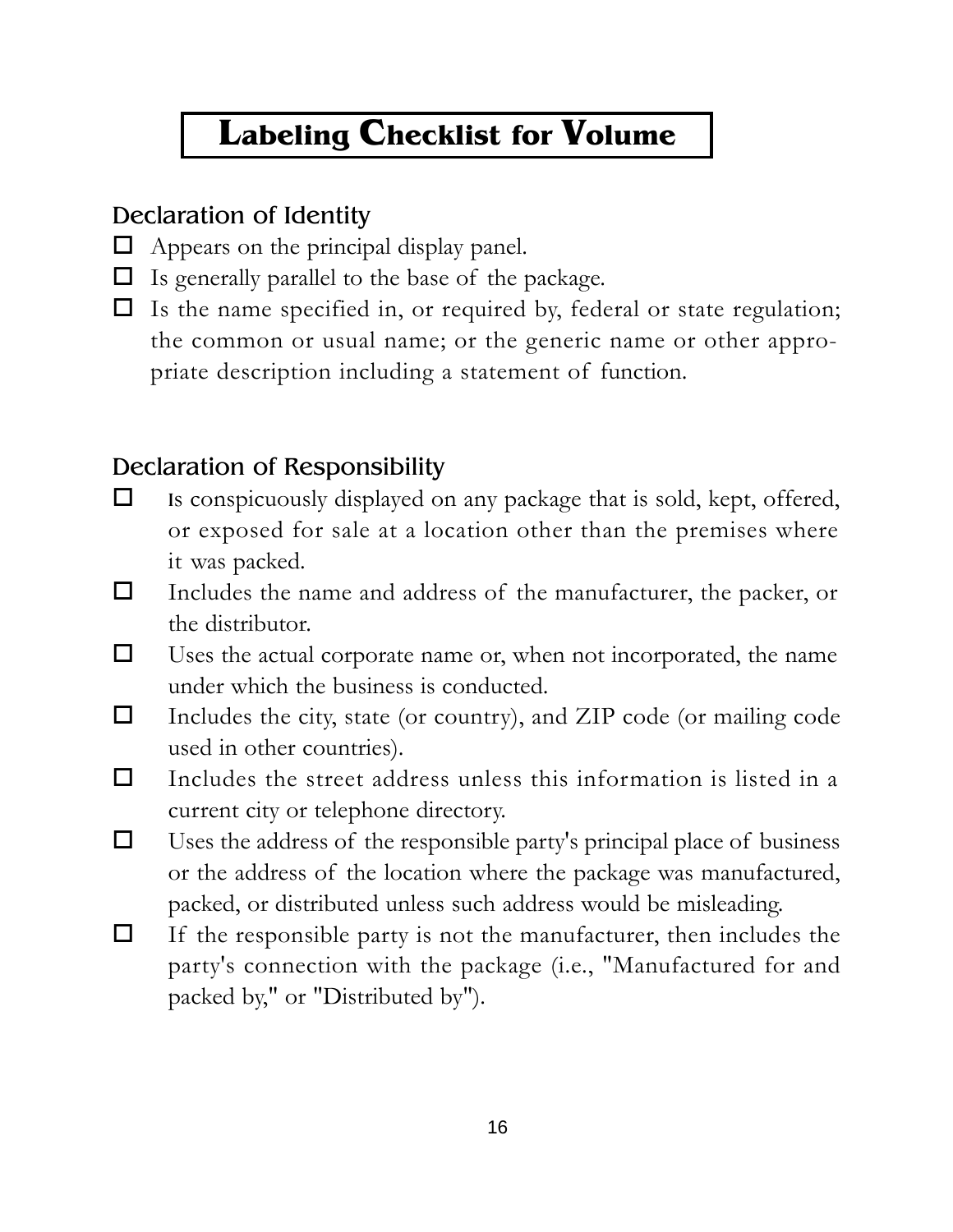## **Labeling Checklist for Volume**

#### Declaration of Identity

- $\Box$  Appears on the principal display panel.
- $\Box$  Is generally parallel to the base of the package.
- $\Box$  Is the name specified in, or required by, federal or state regulation; the common or usual name; or the generic name or other appropriate description including a statement of function.

#### Declaration of Responsibility

- $\Box$  Is conspicuously displayed on any package that is sold, kept, offered, or exposed for sale at a location other than the premises where it was packed.
- Includes the name and address of the manufacturer, the packer, or the distributor.
- $\Box$  Uses the actual corporate name or, when not incorporated, the name under which the business is conducted.
- $\Box$  Includes the city, state (or country), and ZIP code (or mailing code used in other countries).
- $\Box$  Includes the street address unless this information is listed in a current city or telephone directory.
- $\Box$  Uses the address of the responsible party's principal place of business or the address of the location where the package was manufactured, packed, or distributed unless such address would be misleading.
- $\Box$  If the responsible party is not the manufacturer, then includes the party's connection with the package (i.e., "Manufactured for and packed by," or "Distributed by").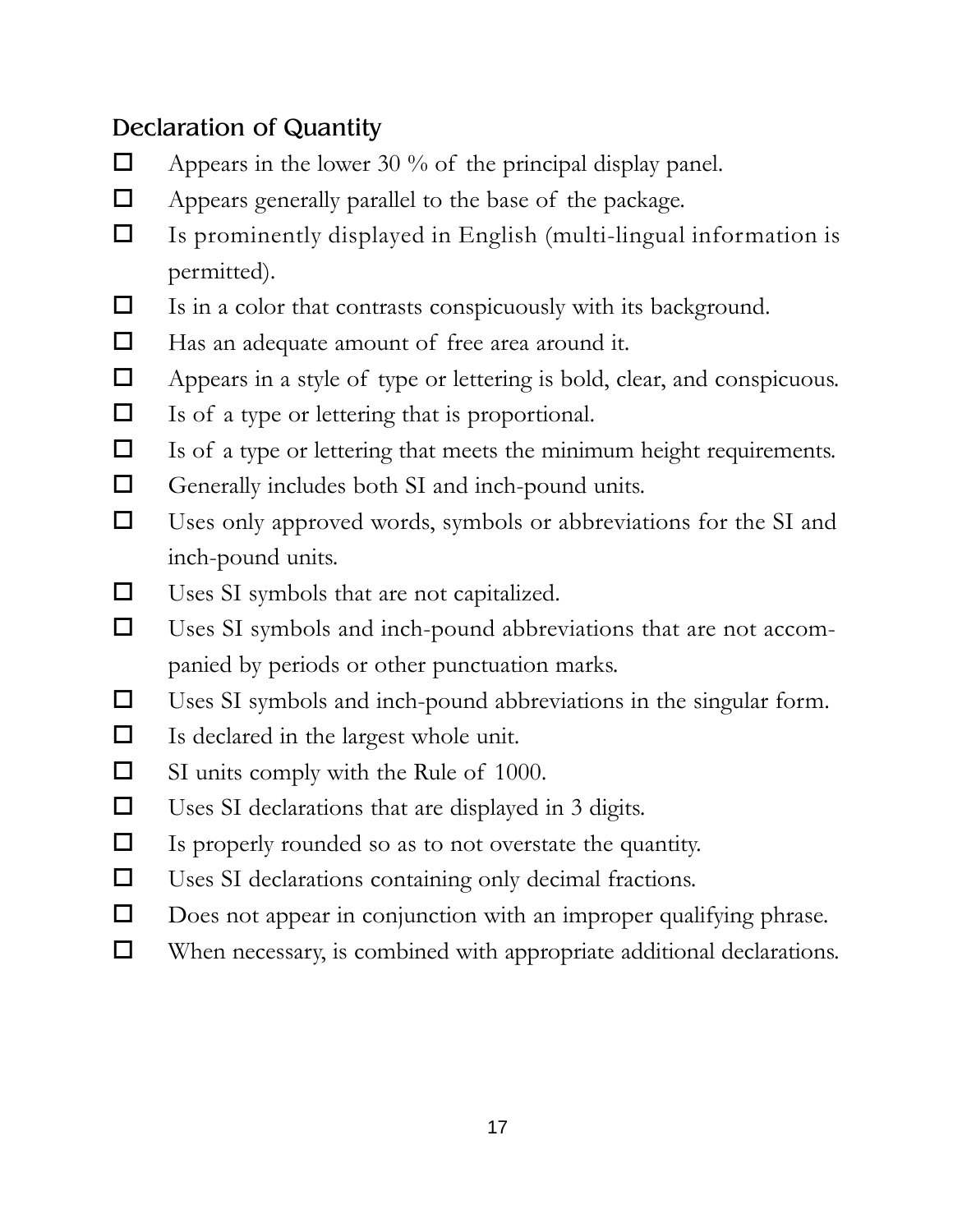#### Declaration of Quantity

- $\Box$  Appears in the lower 30 % of the principal display panel.
- $\Box$  Appears generally parallel to the base of the package.
- $\Box$  Is prominently displayed in English (multi-lingual information is permitted).
- $\Box$  Is in a color that contrasts conspicuously with its background.
- $\Box$  Has an adequate amount of free area around it.
- Appears in a style of type or lettering is bold, clear, and conspicuous.
- $\Box$  Is of a type or lettering that is proportional.
- $\Box$  Is of a type or lettering that meets the minimum height requirements.
- $\Box$  Generally includes both SI and inch-pound units.
- $\Box$  Uses only approved words, symbols or abbreviations for the SI and inch-pound units.
- Uses SI symbols that are not capitalized.
- Uses SI symbols and inch-pound abbreviations that are not accompanied by periods or other punctuation marks.
- Uses SI symbols and inch-pound abbreviations in the singular form.
- $\Box$  Is declared in the largest whole unit.
- $\Box$  SI units comply with the Rule of 1000.
- $\Box$  Uses SI declarations that are displayed in 3 digits.
- Is properly rounded so as to not overstate the quantity.
- Uses SI declarations containing only decimal fractions.
- $\Box$  Does not appear in conjunction with an improper qualifying phrase.
- When necessary, is combined with appropriate additional declarations.